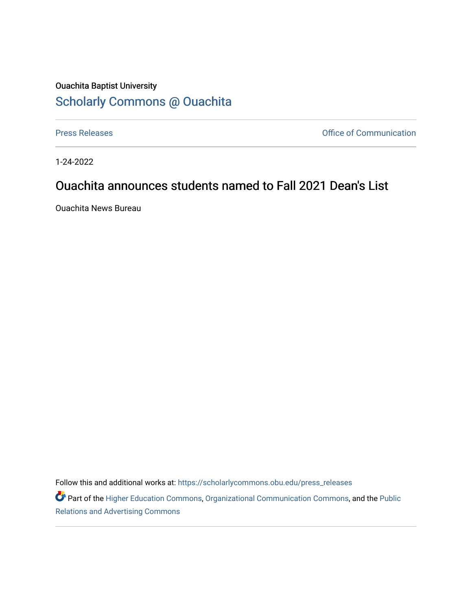## Ouachita Baptist University [Scholarly Commons @ Ouachita](https://scholarlycommons.obu.edu/)

[Press Releases](https://scholarlycommons.obu.edu/press_releases) **Press Releases Communication** 

1-24-2022

## Ouachita announces students named to Fall 2021 Dean's List

Ouachita News Bureau

Follow this and additional works at: [https://scholarlycommons.obu.edu/press\\_releases](https://scholarlycommons.obu.edu/press_releases?utm_source=scholarlycommons.obu.edu%2Fpress_releases%2F1042&utm_medium=PDF&utm_campaign=PDFCoverPages)

Part of the [Higher Education Commons,](http://network.bepress.com/hgg/discipline/1245?utm_source=scholarlycommons.obu.edu%2Fpress_releases%2F1042&utm_medium=PDF&utm_campaign=PDFCoverPages) [Organizational Communication Commons,](http://network.bepress.com/hgg/discipline/335?utm_source=scholarlycommons.obu.edu%2Fpress_releases%2F1042&utm_medium=PDF&utm_campaign=PDFCoverPages) and the [Public](http://network.bepress.com/hgg/discipline/336?utm_source=scholarlycommons.obu.edu%2Fpress_releases%2F1042&utm_medium=PDF&utm_campaign=PDFCoverPages) [Relations and Advertising Commons](http://network.bepress.com/hgg/discipline/336?utm_source=scholarlycommons.obu.edu%2Fpress_releases%2F1042&utm_medium=PDF&utm_campaign=PDFCoverPages)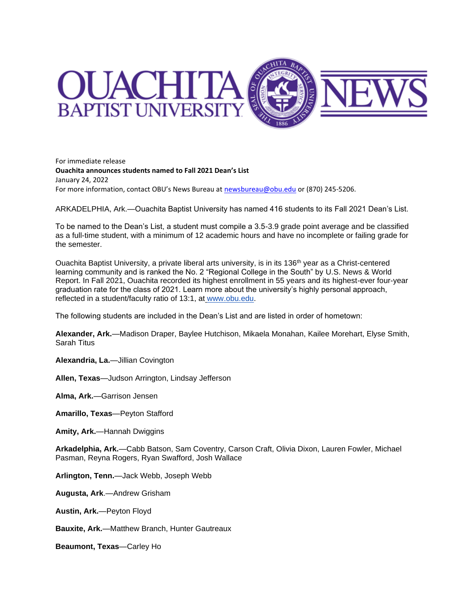

For immediate release **Ouachita announces students named to Fall 2021 Dean's List** January 24, 2022 For more information, contact OBU's News Bureau at [newsbureau@obu.edu](mailto:newsbureau@obu.edu) or (870) 245-5206.

ARKADELPHIA, Ark.—Ouachita Baptist University has named 416 students to its Fall 2021 Dean's List.

To be named to the Dean's List, a student must compile a 3.5-3.9 grade point average and be classified as a full-time student, with a minimum of 12 academic hours and have no incomplete or failing grade for the semester.

Ouachita Baptist University, a private liberal arts university, is in its 136<sup>th</sup> year as a Christ-centered learning community and is ranked the No. 2 "Regional College in the South" by U.S. News & World Report. In Fall 2021, Ouachita recorded its highest enrollment in 55 years and its highest-ever four-year graduation rate for the class of 2021. Learn more about the university's highly personal approach, reflected in a student/faculty ratio of 13:1, at [www.obu.edu.](https://nam12.safelinks.protection.outlook.com/?url=http%3A%2F%2Fwww.obu.edu%2F&data=04%7C01%7Cmortensona%40OBU.EDU%7C5fc459679d464f9fa32c08d9df773ecc%7C59a7df8e1953458ba12bb585f94a11d9%7C1%7C0%7C637786525504597668%7CUnknown%7CTWFpbGZsb3d8eyJWIjoiMC4wLjAwMDAiLCJQIjoiV2luMzIiLCJBTiI6Ik1haWwiLCJXVCI6Mn0%3D%7C3000&sdata=aNOKVkn2DfzmR4%2BRv0H2CYBnd9iVNEphRSYsy%2BprAMI%3D&reserved=0)

The following students are included in the Dean's List and are listed in order of hometown:

**Alexander, Ark.**—Madison Draper, Baylee Hutchison, Mikaela Monahan, Kailee Morehart, Elyse Smith, Sarah Titus

**Alexandria, La.**—Jillian Covington

**Allen, Texas**—Judson Arrington, Lindsay Jefferson

**Alma, Ark.**—Garrison Jensen

**Amarillo, Texas**—Peyton Stafford

**Amity, Ark.**—Hannah Dwiggins

**Arkadelphia, Ark.**—Cabb Batson, Sam Coventry, Carson Craft, Olivia Dixon, Lauren Fowler, Michael Pasman, Reyna Rogers, Ryan Swafford, Josh Wallace

**Arlington, Tenn.**—Jack Webb, Joseph Webb

**Augusta, Ark**.—Andrew Grisham

**Austin, Ark.**—Peyton Floyd

**Bauxite, Ark.**—Matthew Branch, Hunter Gautreaux

**Beaumont, Texas**—Carley Ho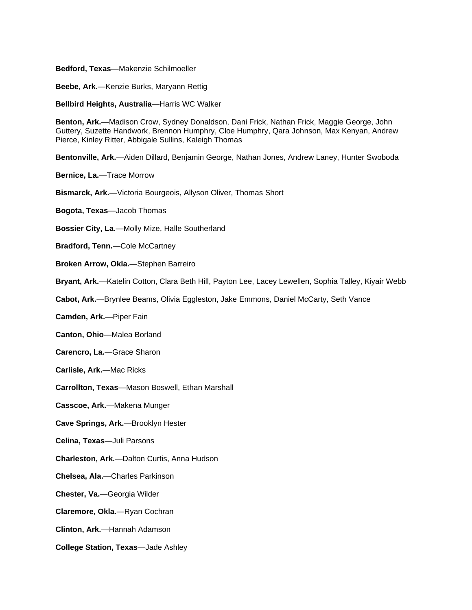## **Bedford, Texas**—Makenzie Schilmoeller

**Beebe, Ark.**—Kenzie Burks, Maryann Rettig

**Bellbird Heights, Australia**—Harris WC Walker

**Benton, Ark.**—Madison Crow, Sydney Donaldson, Dani Frick, Nathan Frick, Maggie George, John Guttery, Suzette Handwork, Brennon Humphry, Cloe Humphry, Qara Johnson, Max Kenyan, Andrew Pierce, Kinley Ritter, Abbigale Sullins, Kaleigh Thomas

**Bentonville, Ark.**—Aiden Dillard, Benjamin George, Nathan Jones, Andrew Laney, Hunter Swoboda

**Bernice, La.**—Trace Morrow

**Bismarck, Ark.**—Victoria Bourgeois, Allyson Oliver, Thomas Short

**Bogota, Texas**—Jacob Thomas

- **Bossier City, La.**—Molly Mize, Halle Southerland
- **Bradford, Tenn.**—Cole McCartney
- **Broken Arrow, Okla.**—Stephen Barreiro
- **Bryant, Ark.**—Katelin Cotton, Clara Beth Hill, Payton Lee, Lacey Lewellen, Sophia Talley, Kiyair Webb
- **Cabot, Ark.**—Brynlee Beams, Olivia Eggleston, Jake Emmons, Daniel McCarty, Seth Vance
- **Camden, Ark.**—Piper Fain
- **Canton, Ohio**—Malea Borland
- **Carencro, La.**—Grace Sharon
- **Carlisle, Ark.**—Mac Ricks

**Carrollton, Texas**—Mason Boswell, Ethan Marshall

**Casscoe, Ark.**—Makena Munger

- **Cave Springs, Ark.**—Brooklyn Hester
- **Celina, Texas**—Juli Parsons
- **Charleston, Ark.**—Dalton Curtis, Anna Hudson
- **Chelsea, Ala.**—Charles Parkinson
- **Chester, Va.**—Georgia Wilder
- **Claremore, Okla.**—Ryan Cochran
- **Clinton, Ark.**—Hannah Adamson
- **College Station, Texas**—Jade Ashley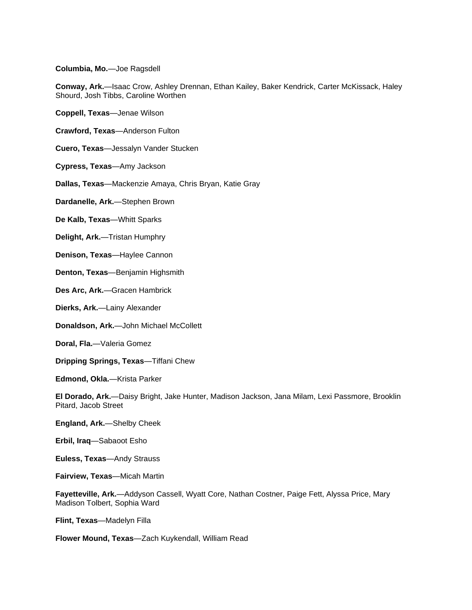**Columbia, Mo.**—Joe Ragsdell

**Conway, Ark.**—Isaac Crow, Ashley Drennan, Ethan Kailey, Baker Kendrick, Carter McKissack, Haley Shourd, Josh Tibbs, Caroline Worthen

**Coppell, Texas**—Jenae Wilson

**Crawford, Texas**—Anderson Fulton

**Cuero, Texas**—Jessalyn Vander Stucken

**Cypress, Texas**—Amy Jackson

**Dallas, Texas**—Mackenzie Amaya, Chris Bryan, Katie Gray

**Dardanelle, Ark.**—Stephen Brown

**De Kalb, Texas**—Whitt Sparks

**Delight, Ark.**—Tristan Humphry

**Denison, Texas**—Haylee Cannon

**Denton, Texas**—Benjamin Highsmith

**Des Arc, Ark.**—Gracen Hambrick

**Dierks, Ark.**—Lainy Alexander

**Donaldson, Ark.**—John Michael McCollett

**Doral, Fla.**—Valeria Gomez

**Dripping Springs, Texas**—Tiffani Chew

**Edmond, Okla.**—Krista Parker

**El Dorado, Ark.**—Daisy Bright, Jake Hunter, Madison Jackson, Jana Milam, Lexi Passmore, Brooklin Pitard, Jacob Street

**England, Ark.**—Shelby Cheek

**Erbil, Iraq**—Sabaoot Esho

**Euless, Texas**—Andy Strauss

**Fairview, Texas**—Micah Martin

**Fayetteville, Ark.**—Addyson Cassell, Wyatt Core, Nathan Costner, Paige Fett, Alyssa Price, Mary Madison Tolbert, Sophia Ward

**Flint, Texas**—Madelyn Filla

**Flower Mound, Texas**—Zach Kuykendall, William Read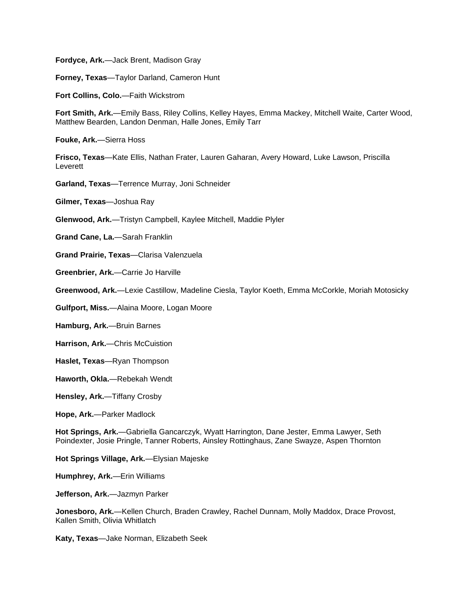**Fordyce, Ark.**—Jack Brent, Madison Gray

**Forney, Texas**—Taylor Darland, Cameron Hunt

**Fort Collins, Colo.**—Faith Wickstrom

**Fort Smith, Ark.**—Emily Bass, Riley Collins, Kelley Hayes, Emma Mackey, Mitchell Waite, Carter Wood, Matthew Bearden, Landon Denman, Halle Jones, Emily Tarr

**Fouke, Ark.**—Sierra Hoss

**Frisco, Texas**—Kate Ellis, Nathan Frater, Lauren Gaharan, Avery Howard, Luke Lawson, Priscilla Leverett

**Garland, Texas**—Terrence Murray, Joni Schneider

**Gilmer, Texas**—Joshua Ray

**Glenwood, Ark.**—Tristyn Campbell, Kaylee Mitchell, Maddie Plyler

**Grand Cane, La.**—Sarah Franklin

**Grand Prairie, Texas**—Clarisa Valenzuela

**Greenbrier, Ark.**—Carrie Jo Harville

**Greenwood, Ark.**—Lexie Castillow, Madeline Ciesla, Taylor Koeth, Emma McCorkle, Moriah Motosicky

**Gulfport, Miss.**—Alaina Moore, Logan Moore

**Hamburg, Ark.**—Bruin Barnes

**Harrison, Ark.**—Chris McCuistion

- **Haslet, Texas**—Ryan Thompson
- **Haworth, Okla.**—Rebekah Wendt

**Hensley, Ark.**—Tiffany Crosby

**Hope, Ark.**—Parker Madlock

**Hot Springs, Ark.**—Gabriella Gancarczyk, Wyatt Harrington, Dane Jester, Emma Lawyer, Seth Poindexter, Josie Pringle, Tanner Roberts, Ainsley Rottinghaus, Zane Swayze, Aspen Thornton

**Hot Springs Village, Ark.**—Elysian Majeske

**Humphrey, Ark.**—Erin Williams

**Jefferson, Ark.**—Jazmyn Parker

**Jonesboro, Ark.**—Kellen Church, Braden Crawley, Rachel Dunnam, Molly Maddox, Drace Provost, Kallen Smith, Olivia Whitlatch

**Katy, Texas**—Jake Norman, Elizabeth Seek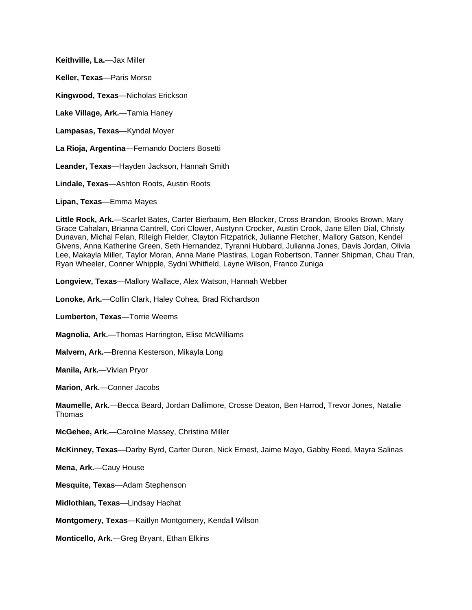**Keithville, La.**—Jax Miller **Keller, Texas**—Paris Morse

**Kingwood, Texas**—Nicholas Erickson

**Lake Village, Ark.**—Tamia Haney

**Lampasas, Texas**—Kyndal Moyer

**La Rioja, Argentina**—Fernando Docters Bosetti

**Leander, Texas**—Hayden Jackson, Hannah Smith

**Lindale, Texas**—Ashton Roots, Austin Roots

**Lipan, Texas**—Emma Mayes

**Little Rock, Ark.**—Scarlet Bates, Carter Bierbaum, Ben Blocker, Cross Brandon, Brooks Brown, Mary Grace Cahalan, Brianna Cantrell, Cori Clower, Austynn Crocker, Austin Crook, Jane Ellen Dial, Christy Dunavan, Michal Felan, Rileigh Fielder, Clayton Fitzpatrick, Julianne Fletcher, Mallory Gatson, Kendel Givens, Anna Katherine Green, Seth Hernandez, Tyranni Hubbard, Julianna Jones, Davis Jordan, Olivia Lee, Makayla Miller, Taylor Moran, Anna Marie Plastiras, Logan Robertson, Tanner Shipman, Chau Tran, Ryan Wheeler, Conner Whipple, Sydni Whitfield, Layne Wilson, Franco Zuniga

**Longview, Texas**—Mallory Wallace, Alex Watson, Hannah Webber

**Lonoke, Ark.**—Collin Clark, Haley Cohea, Brad Richardson

**Lumberton, Texas**—Torrie Weems

**Magnolia, Ark.**—Thomas Harrington, Elise McWilliams

**Malvern, Ark.**—Brenna Kesterson, Mikayla Long

**Manila, Ark.**—Vivian Pryor

**Marion, Ark.**—Conner Jacobs

**Maumelle, Ark.**—Becca Beard, Jordan Dallimore, Crosse Deaton, Ben Harrod, Trevor Jones, Natalie Thomas

**McGehee, Ark.**—Caroline Massey, Christina Miller

**McKinney, Texas**—Darby Byrd, Carter Duren, Nick Ernest, Jaime Mayo, Gabby Reed, Mayra Salinas

**Mena, Ark.**—Cauy House

**Mesquite, Texas**—Adam Stephenson

**Midlothian, Texas**—Lindsay Hachat

**Montgomery, Texas**—Kaitlyn Montgomery, Kendall Wilson

**Monticello, Ark.**—Greg Bryant, Ethan Elkins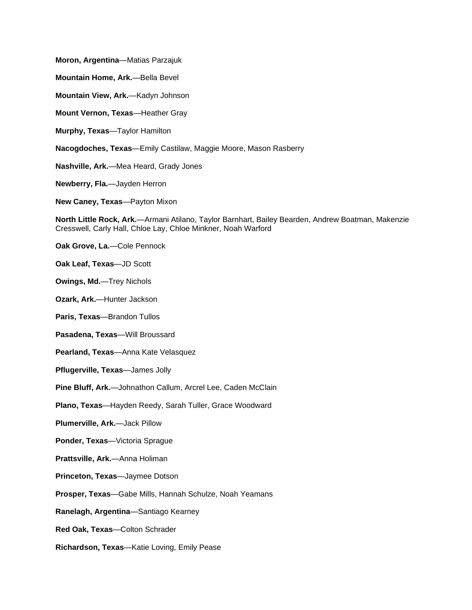**Moron, Argentina**—Matias Parzajuk

**Mountain Home, Ark.**—Bella Bevel

**Mountain View, Ark.**—Kadyn Johnson

**Mount Vernon, Texas**—Heather Gray

**Murphy, Texas**—Taylor Hamilton

**Nacogdoches, Texas**—Emily Castilaw, Maggie Moore, Mason Rasberry

**Nashville, Ark.**—Mea Heard, Grady Jones

**Newberry, Fla.**—Jayden Herron

**New Caney, Texas**—Payton Mixon

**North Little Rock, Ark.**—Armani Atilano, Taylor Barnhart, Bailey Bearden, Andrew Boatman, Makenzie Cresswell, Carly Hall, Chloe Lay, Chloe Minkner, Noah Warford

**Oak Grove, La.**—Cole Pennock

**Oak Leaf, Texas**—JD Scott

**Owings, Md.**—Trey Nichols

**Ozark, Ark.**—Hunter Jackson

**Paris, Texas**—Brandon Tullos

**Pasadena, Texas**—Will Broussard

**Pearland, Texas**—Anna Kate Velasquez

**Pflugerville, Texas**—James Jolly

**Pine Bluff, Ark.**—Johnathon Callum, Arcrel Lee, Caden McClain

**Plano, Texas**—Hayden Reedy, Sarah Tuller, Grace Woodward

**Plumerville, Ark.**—Jack Pillow

**Ponder, Texas**—Victoria Sprague

**Prattsville, Ark.**—Anna Holiman

**Princeton, Texas**—Jaymee Dotson

**Prosper, Texas**—Gabe Mills, Hannah Schulze, Noah Yeamans

**Ranelagh, Argentina**—Santiago Kearney

**Red Oak, Texas**—Colton Schrader

**Richardson, Texas**—Katie Loving, Emily Pease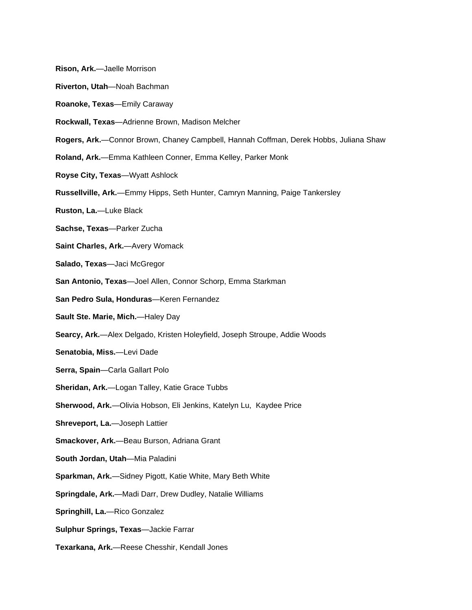- **Rison, Ark.**—Jaelle Morrison
- **Riverton, Utah**—Noah Bachman
- **Roanoke, Texas**—Emily Caraway
- **Rockwall, Texas**—Adrienne Brown, Madison Melcher
- **Rogers, Ark.**—Connor Brown, Chaney Campbell, Hannah Coffman, Derek Hobbs, Juliana Shaw
- **Roland, Ark.**—Emma Kathleen Conner, Emma Kelley, Parker Monk
- **Royse City, Texas**—Wyatt Ashlock
- **Russellville, Ark.**—Emmy Hipps, Seth Hunter, Camryn Manning, Paige Tankersley
- **Ruston, La.**—Luke Black
- **Sachse, Texas**—Parker Zucha
- **Saint Charles, Ark.**—Avery Womack
- **Salado, Texas**—Jaci McGregor
- **San Antonio, Texas**—Joel Allen, Connor Schorp, Emma Starkman
- **San Pedro Sula, Honduras**—Keren Fernandez
- **Sault Ste. Marie, Mich.**—Haley Day
- **Searcy, Ark.**—Alex Delgado, Kristen Holeyfield, Joseph Stroupe, Addie Woods
- **Senatobia, Miss.**—Levi Dade
- **Serra, Spain**—Carla Gallart Polo
- **Sheridan, Ark.**—Logan Talley, Katie Grace Tubbs
- **Sherwood, Ark.**—Olivia Hobson, Eli Jenkins, Katelyn Lu, Kaydee Price
- **Shreveport, La.**—Joseph Lattier
- **Smackover, Ark.**—Beau Burson, Adriana Grant
- **South Jordan, Utah**—Mia Paladini
- **Sparkman, Ark.**—Sidney Pigott, Katie White, Mary Beth White
- **Springdale, Ark.**—Madi Darr, Drew Dudley, Natalie Williams
- **Springhill, La.**—Rico Gonzalez
- **Sulphur Springs, Texas**—Jackie Farrar
- **Texarkana, Ark.**—Reese Chesshir, Kendall Jones